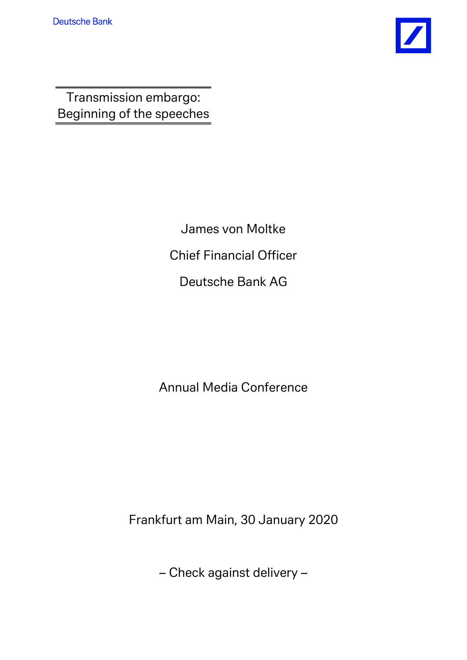

Transmission embargo: Beginning of the speeches

> James von Moltke Chief Financial Officer Deutsche Bank AG

Annual Media Conference

Frankfurt am Main, 30 January 2020

– Check against delivery –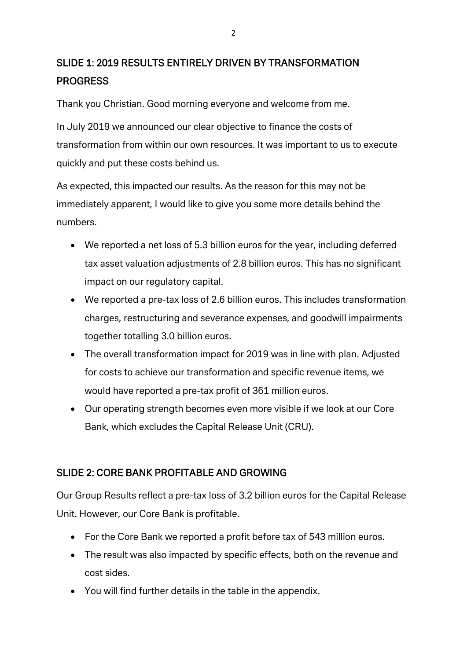## SLIDE 1: 2019 RESULTS ENTIRELY DRIVEN BY TRANSFORMATION PROGRESS

Thank you Christian. Good morning everyone and welcome from me.

In July 2019 we announced our clear objective to finance the costs of transformation from within our own resources. It was important to us to execute quickly and put these costs behind us.

As expected, this impacted our results. As the reason for this may not be immediately apparent, I would like to give you some more details behind the numbers.

- We reported a net loss of 5.3 billion euros for the year, including deferred tax asset valuation adjustments of 2.8 billion euros. This has no significant impact on our regulatory capital.
- We reported a pre-tax loss of 2.6 billion euros. This includes transformation charges, restructuring and severance expenses, and goodwill impairments together totalling 3.0 billion euros.
- The overall transformation impact for 2019 was in line with plan. Adjusted for costs to achieve our transformation and specific revenue items, we would have reported a pre-tax profit of 361 million euros.
- Our operating strength becomes even more visible if we look at our Core Bank, which excludes the Capital Release Unit (CRU).

## SLIDE 2: CORE BANK PROFITABLE AND GROWING

Our Group Results reflect a pre-tax loss of 3.2 billion euros for the Capital Release Unit. However, our Core Bank is profitable.

- For the Core Bank we reported a profit before tax of 543 million euros.
- The result was also impacted by specific effects, both on the revenue and cost sides.
- You will find further details in the table in the appendix.

2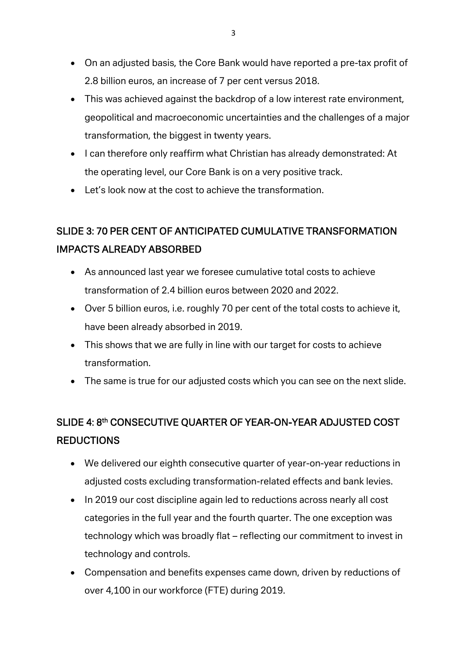- On an adjusted basis, the Core Bank would have reported a pre-tax profit of 2.8 billion euros, an increase of 7 per cent versus 2018.
- This was achieved against the backdrop of a low interest rate environment, geopolitical and macroeconomic uncertainties and the challenges of a major transformation, the biggest in twenty years.
- I can therefore only reaffirm what Christian has already demonstrated: At the operating level, our Core Bank is on a very positive track.
- Let's look now at the cost to achieve the transformation.

## SLIDE 3: 70 PER CENT OF ANTICIPATED CUMULATIVE TRANSFORMATION IMPACTS ALREADY ABSORBED

- As announced last year we foresee cumulative total costs to achieve transformation of 2.4 billion euros between 2020 and 2022.
- Over 5 billion euros, i.e. roughly 70 per cent of the total costs to achieve it, have been already absorbed in 2019.
- This shows that we are fully in line with our target for costs to achieve transformation.
- The same is true for our adjusted costs which you can see on the next slide.

# SLIDE 4: 8th CONSECUTIVE QUARTER OF YEAR-ON-YEAR ADJUSTED COST REDUCTIONS

- We delivered our eighth consecutive quarter of year-on-year reductions in adjusted costs excluding transformation-related effects and bank levies.
- In 2019 our cost discipline again led to reductions across nearly all cost categories in the full year and the fourth quarter. The one exception was technology which was broadly flat – reflecting our commitment to invest in technology and controls.
- Compensation and benefits expenses came down, driven by reductions of over 4,100 in our workforce (FTE) during 2019.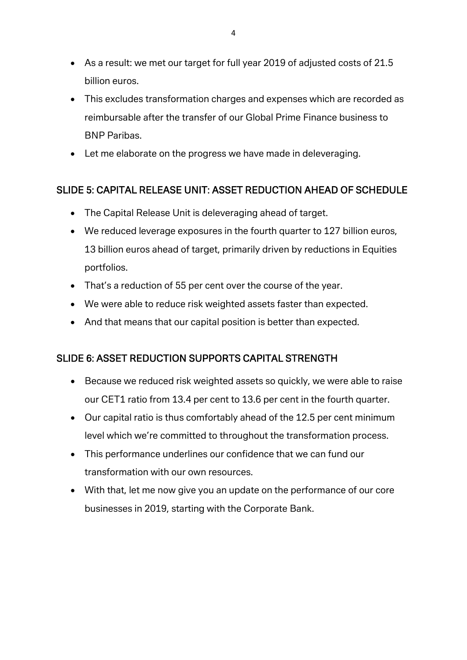- As a result: we met our target for full year 2019 of adjusted costs of 21.5 billion euros.
- This excludes transformation charges and expenses which are recorded as reimbursable after the transfer of our Global Prime Finance business to BNP Paribas.
- Let me elaborate on the progress we have made in deleveraging.

## SLIDE 5: CAPITAL RELEASE UNIT: ASSET REDUCTION AHEAD OF SCHEDULE

- The Capital Release Unit is deleveraging ahead of target.
- We reduced leverage exposures in the fourth quarter to 127 billion euros, 13 billion euros ahead of target, primarily driven by reductions in Equities portfolios.
- That's a reduction of 55 per cent over the course of the year.
- We were able to reduce risk weighted assets faster than expected.
- And that means that our capital position is better than expected.

## SLIDE 6: ASSET REDUCTION SUPPORTS CAPITAL STRENGTH

- Because we reduced risk weighted assets so quickly, we were able to raise our CET1 ratio from 13.4 per cent to 13.6 per cent in the fourth quarter.
- Our capital ratio is thus comfortably ahead of the 12.5 per cent minimum level which we're committed to throughout the transformation process.
- This performance underlines our confidence that we can fund our transformation with our own resources.
- With that, let me now give you an update on the performance of our core businesses in 2019, starting with the Corporate Bank.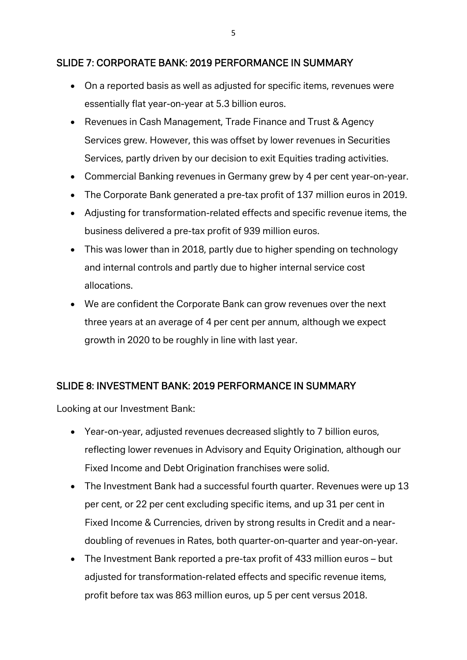#### SLIDE 7: CORPORATE BANK: 2019 PERFORMANCE IN SUMMARY

- On a reported basis as well as adjusted for specific items, revenues were essentially flat year-on-year at 5.3 billion euros.
- Revenues in Cash Management, Trade Finance and Trust & Agency Services grew. However, this was offset by lower revenues in Securities Services, partly driven by our decision to exit Equities trading activities.
- Commercial Banking revenues in Germany grew by 4 per cent year-on-year.
- The Corporate Bank generated a pre-tax profit of 137 million euros in 2019.
- Adjusting for transformation-related effects and specific revenue items, the business delivered a pre-tax profit of 939 million euros.
- This was lower than in 2018, partly due to higher spending on technology and internal controls and partly due to higher internal service cost allocations.
- We are confident the Corporate Bank can grow revenues over the next three years at an average of 4 per cent per annum, although we expect growth in 2020 to be roughly in line with last year.

#### SLIDE 8: INVESTMENT BANK: 2019 PERFORMANCE IN SUMMARY

Looking at our Investment Bank:

- Year-on-year, adjusted revenues decreased slightly to 7 billion euros, reflecting lower revenues in Advisory and Equity Origination, although our Fixed Income and Debt Origination franchises were solid.
- The Investment Bank had a successful fourth quarter. Revenues were up 13 per cent, or 22 per cent excluding specific items, and up 31 per cent in Fixed Income & Currencies, driven by strong results in Credit and a neardoubling of revenues in Rates, both quarter-on-quarter and year-on-year.
- The Investment Bank reported a pre-tax profit of 433 million euros but adjusted for transformation-related effects and specific revenue items, profit before tax was 863 million euros, up 5 per cent versus 2018.

5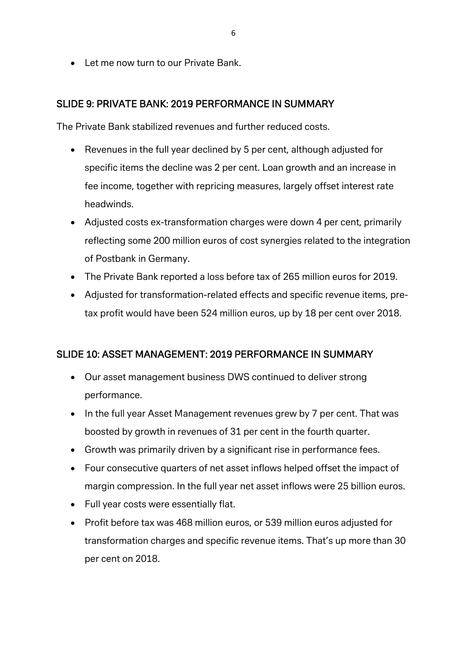• Let me now turn to our Private Bank.

#### SLIDE 9: PRIVATE BANK: 2019 PERFORMANCE IN SUMMARY

The Private Bank stabilized revenues and further reduced costs.

- Revenues in the full year declined by 5 per cent, although adjusted for specific items the decline was 2 per cent. Loan growth and an increase in fee income, together with repricing measures, largely offset interest rate headwinds.
- Adjusted costs ex-transformation charges were down 4 per cent, primarily reflecting some 200 million euros of cost synergies related to the integration of Postbank in Germany.
- The Private Bank reported a loss before tax of 265 million euros for 2019.
- Adjusted for transformation-related effects and specific revenue items, pretax profit would have been 524 million euros, up by 18 per cent over 2018.

#### SLIDE 10: ASSET MANAGEMENT: 2019 PERFORMANCE IN SUMMARY

- Our asset management business DWS continued to deliver strong performance.
- In the full year Asset Management revenues grew by 7 per cent. That was boosted by growth in revenues of 31 per cent in the fourth quarter.
- Growth was primarily driven by a significant rise in performance fees.
- Four consecutive quarters of net asset inflows helped offset the impact of margin compression. In the full year net asset inflows were 25 billion euros.
- Full year costs were essentially flat.
- Profit before tax was 468 million euros, or 539 million euros adjusted for transformation charges and specific revenue items. That's up more than 30 per cent on 2018.